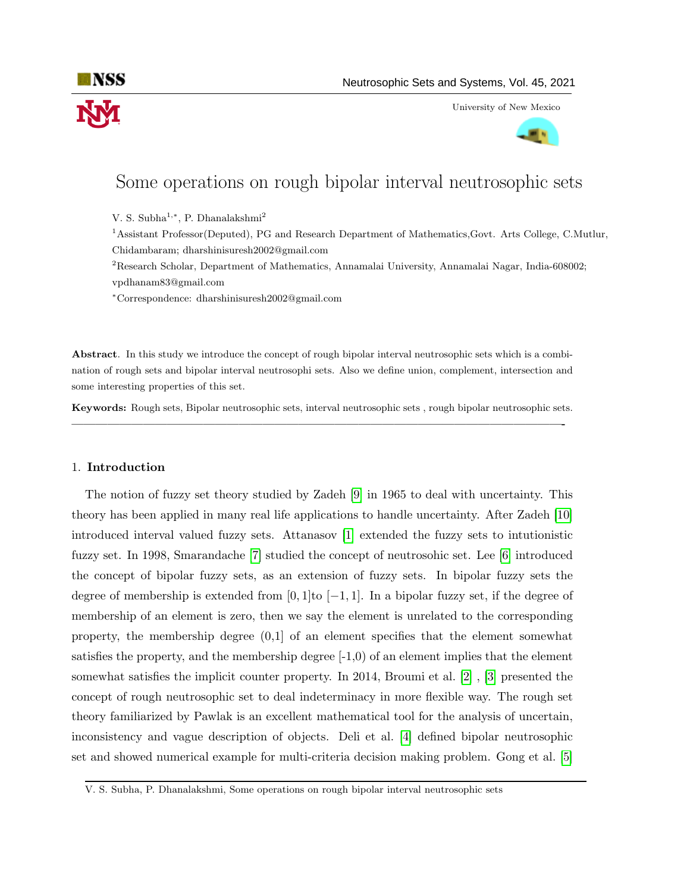

University of New Mexico



# Some operations on rough bipolar interval neutrosophic sets

V. S. Subha<sup>1,∗</sup>, P. Dhanalakshmi<sup>2</sup>

<sup>1</sup>Assistant Professor(Deputed), PG and Research Department of Mathematics,Govt. Arts College, C.Mutlur, Chidambaram; dharshinisuresh2002@gmail.com

<sup>2</sup>Research Scholar, Department of Mathematics, Annamalai University, Annamalai Nagar, India-608002; vpdhanam83@gmail.com

<sup>∗</sup>Correspondence: dharshinisuresh2002@gmail.com

Abstract. In this study we introduce the concept of rough bipolar interval neutrosophic sets which is a combination of rough sets and bipolar interval neutrosophi sets. Also we define union, complement, intersection and some interesting properties of this set.

Keywords: Rough sets, Bipolar neutrosophic sets, interval neutrosophic sets , rough bipolar neutrosophic sets. —————————————————————————————————————————-

### 1. Introduction

The notion of fuzzy set theory studied by Zadeh [\[9\]](#page-6-0) in 1965 to deal with uncertainty. This theory has been applied in many real life applications to handle uncertainty. After Zadeh [\[10\]](#page-6-1) introduced interval valued fuzzy sets. Attanasov [\[1\]](#page-6-2) extended the fuzzy sets to intutionistic fuzzy set. In 1998, Smarandache [\[7\]](#page-6-3) studied the concept of neutrosohic set. Lee [\[6\]](#page-6-4) introduced the concept of bipolar fuzzy sets, as an extension of fuzzy sets. In bipolar fuzzy sets the degree of membership is extended from [0, 1]to  $[-1, 1]$ . In a bipolar fuzzy set, if the degree of membership of an element is zero, then we say the element is unrelated to the corresponding property, the membership degree  $(0,1]$  of an element specifies that the element somewhat satisfies the property, and the membership degree  $[-1,0)$  of an element implies that the element somewhat satisfies the implicit counter property. In 2014, Broumi et al. [\[2\]](#page-6-5) , [\[3\]](#page-6-6) presented the concept of rough neutrosophic set to deal indeterminacy in more flexible way. The rough set theory familiarized by Pawlak is an excellent mathematical tool for the analysis of uncertain, inconsistency and vague description of objects. Deli et al. [\[4\]](#page-6-7) defined bipolar neutrosophic set and showed numerical example for multi-criteria decision making problem. Gong et al. [\[5\]](#page-6-8)

V. S. Subha, P. Dhanalakshmi, Some operations on rough bipolar interval neutrosophic sets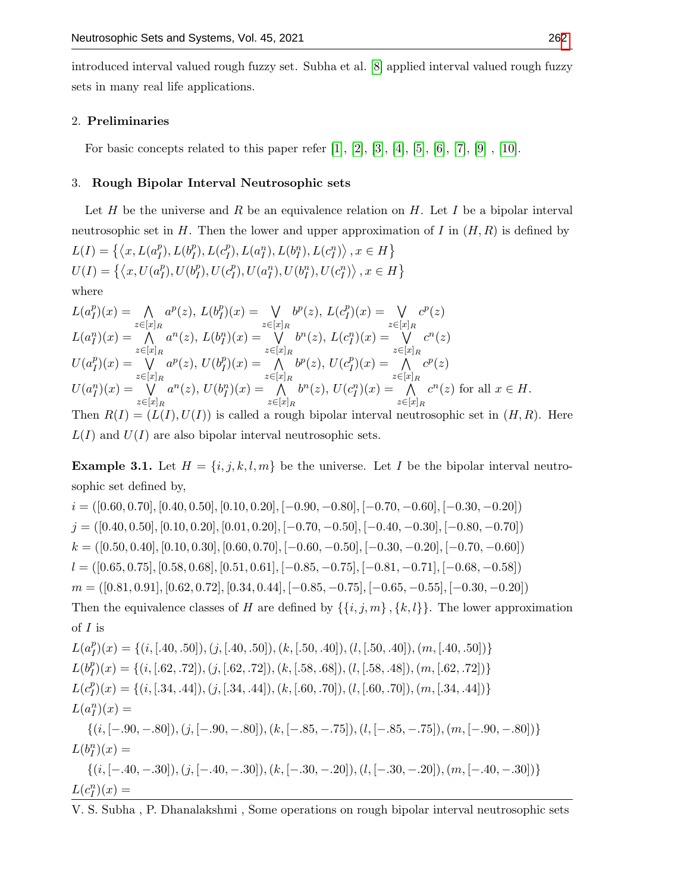introduced interval valued rough fuzzy set. Subha et al. [\[8\]](#page-6-10) applied interval valued rough fuzzy sets in many real life applications.

### 2. Preliminaries

For basic concepts related to this paper refer  $[1], [2], [3], [4], [5], [6], [7], [9]$  $[1], [2], [3], [4], [5], [6], [7], [9]$  $[1], [2], [3], [4], [5], [6], [7], [9]$  $[1], [2], [3], [4], [5], [6], [7], [9]$  $[1], [2], [3], [4], [5], [6], [7], [9]$  $[1], [2], [3], [4], [5], [6], [7], [9]$  $[1], [2], [3], [4], [5], [6], [7], [9]$  $[1], [2], [3], [4], [5], [6], [7], [9]$  $[1], [2], [3], [4], [5], [6], [7], [9]$  $[1], [2], [3], [4], [5], [6], [7], [9]$  $[1], [2], [3], [4], [5], [6], [7], [9]$  $[1], [2], [3], [4], [5], [6], [7], [9]$  $[1], [2], [3], [4], [5], [6], [7], [9]$  $[1], [2], [3], [4], [5], [6], [7], [9]$  $[1], [2], [3], [4], [5], [6], [7], [9]$ ,  $[10].$  $[10].$ 

#### 3. Rough Bipolar Interval Neutrosophic sets

Let  $H$  be the universe and  $R$  be an equivalence relation on  $H$ . Let  $I$  be a bipolar interval neutrosophic set in H. Then the lower and upper approximation of I in  $(H, R)$  is defined by  $L(I) = \{ \langle x, L(a_I^p \rangle)\}$  $\binom{p}{I}$ ,  $L(b_I^p)$  $\binom{p}{I}$ ,  $L(c_I^p)$  $\{H_I^p, L(a_I^n), L(b_I^n), L(c_I^n)\}\,$ ,  $x \in H$  $U(I) = \{ \langle x, U(a_I^p \rangle)\}$  $_l^p$ ),  $U(b_l^p)$  $_l^p$ ),  $U(c_l^p)$  $\{U(a_I^n), U(b_I^n), U(c_I^n)\}, x \in H\}$ where  $L(a_I^p)$  $\bigcap_{I}^{p}(x) = \bigcap$  $z \in [x]_R$  $a^p(z)$ ,  $L(b_I^p)$  $\binom{p}{I}(x) = \bigvee$  $z \in [x]_R$  $b^p(z)$ ,  $L(c_I^p)$  $\binom{p}{I}(x) = \bigvee$  $z\in[x]_R$  $c^p(z)$  $L(a_I^n)(x) = \bigwedge$  $z\in[x]_R$  $a^n(z)$ ,  $L(b_l^n)(x) = \forall$  $z\in[x]_R$  $b^n(z)$ ,  $L(c_l^n)(x) = \forall$  $z \in [x]_R$  $c^n(z)$  $U(a_I^p)$  $\binom{p}{I}(x) = \bigvee$  $z\in[x]_R$  $a^p(z)$ ,  $U(b_I^p)$  $\binom{p}{I}(x) = \bigwedge$  $z\in[x]_R$  $b^p(z)$ ,  $U(c_I^p)$  $\binom{p}{I}(x) = \bigwedge$  $z\in[x]_R$  $c^p(z)$  $U(a_I^n)(x) = \sqrt{2}$  $a^n(z)$ ,  $U(b_l^n)(x) = \Lambda$  $b^n(z)$ ,  $U(c_l^n)(x) = \Lambda$  $c^n(z)$  for all  $x \in H$ .

 $z\in[x]_R$  $z \in [x]_R$  $z \in [x]_R$ Then  $R(I) = (L(I), U(I))$  is called a rough bipolar interval neutrosophic set in  $(H, R)$ . Here  $L(I)$  and  $U(I)$  are also bipolar interval neutrosophic sets.

<span id="page-1-0"></span>**Example 3.1.** Let  $H = \{i, j, k, l, m\}$  be the universe. Let I be the bipolar interval neutrosophic set defined by,

 $i = ([0.60, 0.70], [0.40, 0.50], [0.10, 0.20], [-0.90, -0.80], [-0.70, -0.60], [-0.30, -0.20])$  $j = ([0.40, 0.50], [0.10, 0.20], [0.01, 0.20], [-0.70, -0.50], [-0.40, -0.30], [-0.80, -0.70])$  $k = ([0.50, 0.40], [0.10, 0.30], [0.60, 0.70], [-0.60, -0.50], [-0.30, -0.20], [-0.70, -0.60])$  $l = ( [0.65, 0.75], [0.58, 0.68], [0.51, 0.61], [-0.85, -0.75], [-0.81, -0.71], [-0.68, -0.58] )$  $m = ([0.81, 0.91], [0.62, 0.72], [0.34, 0.44], [-0.85, -0.75], [-0.65, -0.55], [-0.30, -0.20])$ Then the equivalence classes of H are defined by  $\{\{i, j, m\}, \{k, l\}\}\$ . The lower approximation of  $I$  is  $L(a_I^p)$  $I_I^p(x) = \{(i, [.40, .50]), (j, [.40, .50]), (k, [.50, .40]), (l, [.50, .40]), (m, [.40, .50])\}$  $L(b_I^p)$  $I_I^p(x) = \{(i, [.62, .72]), (j, [.62, .72]), (k, [.58, .68]), (l, [.58, .48]), (m, [.62, .72])\}$  $L(c_I^p)$  $I_I^p$  $(I_I) = \{(i, [.34, .44]), (j, [.34, .44]), (k, [.60, .70]), (l, [.60, .70]), (m, [.34, .44])\}$  $L(a_I^n)(x) =$  $\{(i, [-.90, -.80]),(j, [-.90, -.80]),(k, [-.85, -.75]),(l, [-.85, -.75]),(m, [-.90, -.80])\}$  $L(b_I^n)(x) =$  $\{(i, [-.40, -.30]), (i, [-.40, -.30]), (k, [-.30, -.20]), (l, [-.30, -.20]), (m, [-.40, -.30])\}$ 

 $L(c_I^n)(x) =$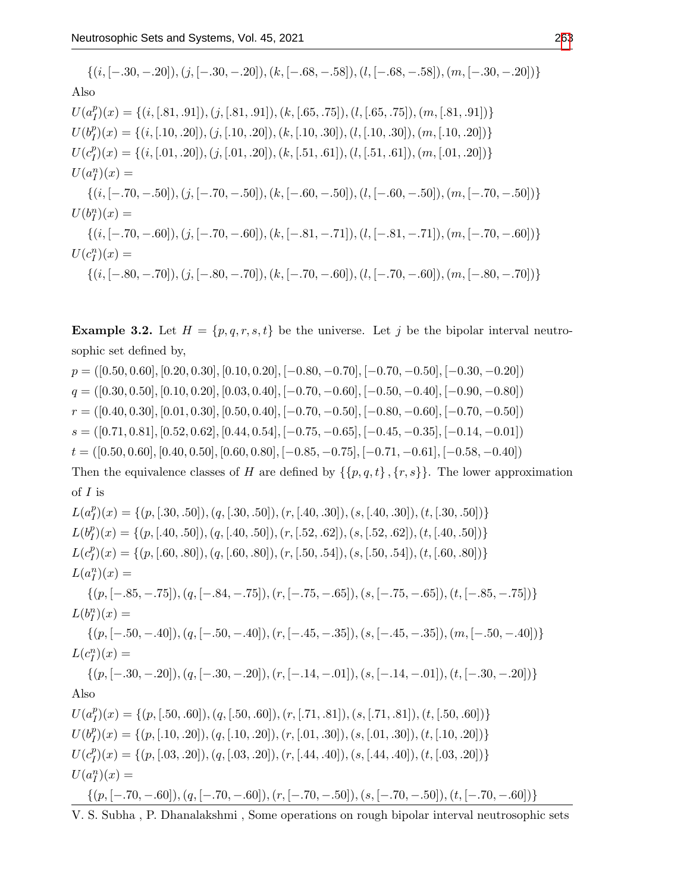$\{(i, [-.30, -.20]), (j, [-.30, -.20]), (k, [-.68, -.58]), (l, [-.68, -.58]), (m, [-.30, -.20])\}$ Also  $U(a_I^p)$  $I_I^p(x) = \{(i, [.81, .91]), (j, [.81, .91]), (k, [.65, .75]), (l, [.65, .75]), (m, [.81, .91])\}$  $U(b_T^p)$  $I_I^p(x) = \{(i, [.10, .20]), (j, [.10, .20]), (k, [.10, .30]), (l, [.10, .30]), (m, [.10, .20])\}$  $U(c_I^p)$  $\mathcal{I}_I^p(x) = \{(i, [.01, .20]), (j, [.01, .20]), (k, [.51, .61]), (l, [.51, .61]), (m, [.01, .20])\}$  $U(a_I^n)(x) =$  $\{(i, [-.70, -.50]), (i, [-.70, -.50]), (k, [-.60, -.50]), (l, [-.60, -.50]), (m, [-.70, -.50])\}$  $U(b_I^n)(x) =$  $\{(i, [-.70, -.60]), (j, [-.70, -.60]), (k, [-.81, -.71]), (l, [-.81, -.71]), (m, [-.70, -.60])\}$  $U(c_l^n)(x) =$  $\{(i, [-.80, -.70]),(i, [-.80, -.70]),(k, [-.70, -.60]),(l, [-.70, -.60]),(m, [-.80, -.70])\}$ 

<span id="page-2-0"></span>**Example 3.2.** Let  $H = \{p, q, r, s, t\}$  be the universe. Let j be the bipolar interval neutrosophic set defined by,

 $p = ([0.50, 0.60], [0.20, 0.30], [0.10, 0.20], [-0.80, -0.70], [-0.70, -0.50], [-0.30, -0.20])$  $q = ([0.30, 0.50], [0.10, 0.20], [0.03, 0.40], [-0.70, -0.60], [-0.50, -0.40], [-0.90, -0.80])$  $r = ([0.40, 0.30], [0.01, 0.30], [0.50, 0.40], [-0.70, -0.50], [-0.80, -0.60], [-0.70, -0.50])$  $s = ([0.71, 0.81], [0.52, 0.62], [0.44, 0.54], [-0.75, -0.65], [-0.45, -0.35], [-0.14, -0.01])$  $t = ([0.50, 0.60], [0.40, 0.50], [0.60, 0.80], [-0.85, -0.75], [-0.71, -0.61], [-0.58, -0.40])$ 

Then the equivalence classes of H are defined by  $\{\{p, q, t\}, \{r, s\}\}\$ . The lower approximation of  $I$  is

 $L(a_I^p)$  $I_I^p(x) = \{(p, [.30, .50]), (q, [.30, .50]), (r, [.40, .30]), (s, [.40, .30]), (t, [.30, .50])\}$  $L(b_I^p)$  $I_I^p(x) = \{(p, [.40, .50]), (q, [.40, .50]), (r, [.52, .62]), (s, [.52, .62]), (t, [.40, .50])\}$  $L(c_I^p)$  $I_I^p(x) = \{(p, [.60, .80]), (q, [.60, .80]), (r, [.50, .54]), (s, [.50, .54]), (t, [.60, .80])\}$  $L(a_I^n)(x) =$  $\{(p, [-.85, -.75]), (q, [-.84, -.75]), (r, [-.75, -.65]), (s, [-.75, -.65]), (t, [-.85, -.75])\}$  $L(b_I^n)(x) =$  $\{(p, [-.50, -.40]), (q, [-.50, -.40]), (r, [-.45, -.35]), (s, [-.45, -.35]), (m, [-.50, -.40])\}$  $L(c_l^n)(x) =$  $\{(p, [-.30, -.20]), (q, [-.30, -.20]), (r, [-.14, -.01]), (s, [-.14, -.01]), (t, [-.30, -.20])\}$ Also  $U(a_I^p)$  $I_I^p$  $( x ) = \{ (p, [.50, .60]), (q, [.50, .60]), (r, [.71, .81]), (s, [.71, .81]), (t, [.50, .60]) \}$  $U(b_T^p)$  $I_I^p(x) = \{(p, [.10, .20]), (q, [.10, .20]), (r, [.01, .30]), (s, [.01, .30]), (t, [.10, .20])\}$  $U(c_I^p)$  $\mathcal{I}_I^p(x) = \{(p, [.03, .20]), (q, [.03, .20]), (r, [.44, .40]), (s, [.44, .40]), (t, [.03, .20])\}$  $U(a_I^n)(x) =$  $\{(p, [-.70, -.60]), (q, [-.70, -.60]), (r, [-.70, -.50]), (s, [-.70, -.50]), (t, [-.70, -.60])\}$ 

V. S. Subha , P. Dhanalakshmi , Some operations on rough bipolar interval neutrosophic sets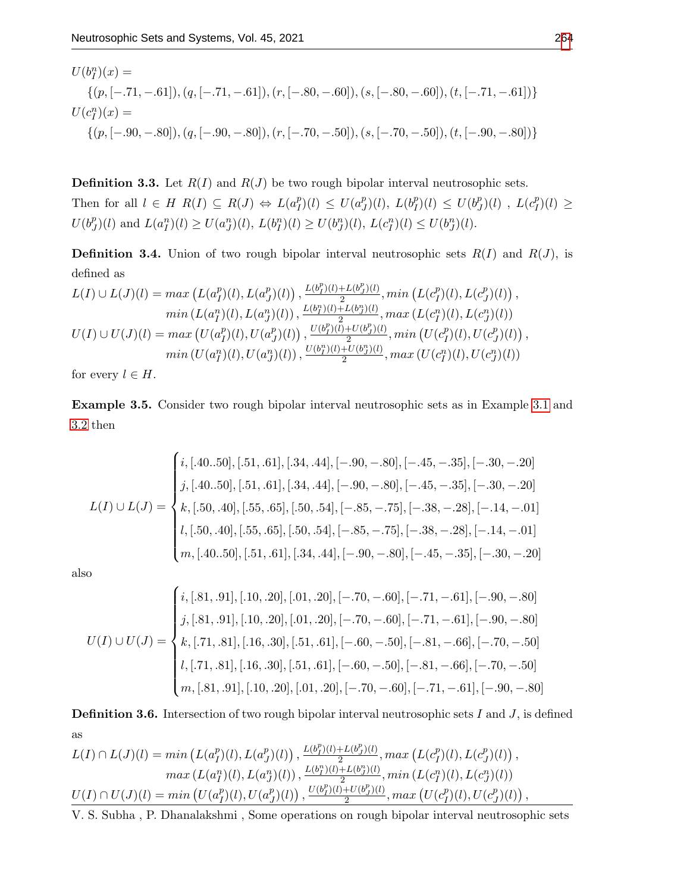$$
U(b_I^n)(x) =
$$
  
{ $(p, [-.71, -.61]), (q, [-.71, -.61]), (r, [-.80, -.60]), (s, [-.80, -.60]), (t, [-.71, -.61])}$   

$$
U(c_I^n)(x) =
$$
  
{ $(p, [-.90, -.80]), (q, [-.90, -.80]), (r, [-.70, -.50]), (s, [-.70, -.50]), (t, [-.90, -.80])}$ 

**Definition 3.3.** Let  $R(I)$  and  $R(J)$  be two rough bipolar interval neutrosophic sets. Then for all  $l \in H$   $R(I) \subseteq R(J) \Leftrightarrow L(a_l^p)$  $\binom{p}{I}(l) \leq U(a_j^p)$  $_{J}^{p})$  $(l)$ ,  $L(b_{I}^{p})$  $\binom{p}{I}(l) \leq U(b_j^p)$  $\binom{p}{J}(l)$ ,  $L(c_I^p)$  $_{I}^{p})(l) \geq$  $U(b^p)$  $U(f)(l)$  and  $L(a_I^n)(l) \ge U(a_J^n)(l)$ ,  $L(b_I^n)(l) \ge U(b_J^n)(l)$ ,  $L(c_I^n)(l) \le U(b_J^n)(l)$ .

**Definition 3.4.** Union of two rough bipolar interval neutrosophic sets  $R(I)$  and  $R(J)$ , is defined as

$$
L(I) \cup L(J)(l) = \max \left( L(a_I^p)(l), L(a_J^p)(l) \right), \frac{L(b_I^p)(l) + L(b_J^p)(l)}{2}, \min \left( L(c_I^p)(l), L(c_J^p)(l) \right),
$$
  
\n
$$
\min \left( L(a_I^n)(l), L(a_J^n)(l) \right), \frac{L(b_I^n)(l) + L(b_J^n)(l)}{2}, \max \left( L(c_I^n)(l), L(c_J^n)(l) \right)
$$
  
\n
$$
U(I) \cup U(J)(l) = \max \left( U(a_I^p)(l), U(a_J^p)(l) \right), \frac{U(b_I^p)(l) + U(b_J^n)(l)}{2}, \min \left( U(c_I^p)(l), U(c_J^p)(l) \right),
$$
  
\n
$$
\min \left( U(a_I^n)(l), U(a_J^n)(l) \right), \frac{U(b_I^n)(l) + U(b_J^n)(l)}{2}, \max \left( U(c_I^n)(l), U(c_J^n)(l) \right)
$$

for every  $l \in H$ .

Example 3.5. Consider two rough bipolar interval neutrosophic sets as in Example [3.1](#page-1-0) and [3.2](#page-2-0) then

$$
L(I) \cup L(J) = \begin{cases} i, [.40..50], [.51, .61], [.34, .44], [-.90, -.80], [-.45, -.35], [-.30, -.20] \\ j, [.40..50], [.51, .61], [.34, .44], [-.90, -.80], [-.45, -.35], [-.30, -.20] \\ k, [.50, .40], [.55, .65], [.50, .54], [-.85, -.75], [-.38, -.28], [-.14, -.01] \\ l, [.50, .40], [.55, .65], [.50, .54], [-.85, -.75], [-.38, -.28], [-.14, -.01] \\ m, [.40..50], [.51, .61], [.34, .44], [-.90, -.80], [-.45, -.35], [-.30, -.20] \end{cases}
$$

also

$$
U(I) \cup U(J) = \begin{cases} i, [.81, .91], [.10, .20], [.01, .20], [-.70, -.60], [-.71, -.61], [-.90, -.80] \\ j, [.81, .91], [.10, .20], [.01, .20], [-.70, -.60], [-.71, -.61], [-.90, -.80] \\ k, [.71, .81], [.16, .30], [.51, .61], [-.60, -.50], [-.81, -.66], [-.70, -.50] \\ n, [.81, .91], [.10, .20], [.01, .20], [-.70, -.60], [-.71, -.61], [-.90, -.80] \end{cases}
$$

**Definition 3.6.** Intersection of two rough bipolar interval neutrosophic sets  $I$  and  $J$ , is defined as

$$
L(I) \cap L(J)(l) = \min \left( L(a_I^p)(l), L(a_J^p)(l) \right), \frac{L(b_I^p)(l) + L(b_J^p)(l)}{2}, \max \left( L(c_I^p)(l), L(c_J^p)(l) \right),
$$
  
\n
$$
\max \left( L(a_I^n)(l), L(a_J^n)(l) \right), \frac{L(b_I^n)(l) + L(b_J^n)(l)}{2}, \min \left( L(c_I^n)(l), L(c_J^n)(l) \right)
$$
  
\n
$$
U(I) \cap U(J)(l) = \min \left( U(a_I^p)(l), U(a_J^p)(l) \right), \frac{U(b_I^p)(l) + U(b_J^p)(l)}{2}, \max \left( U(c_I^p)(l), U(c_J^p)(l) \right),
$$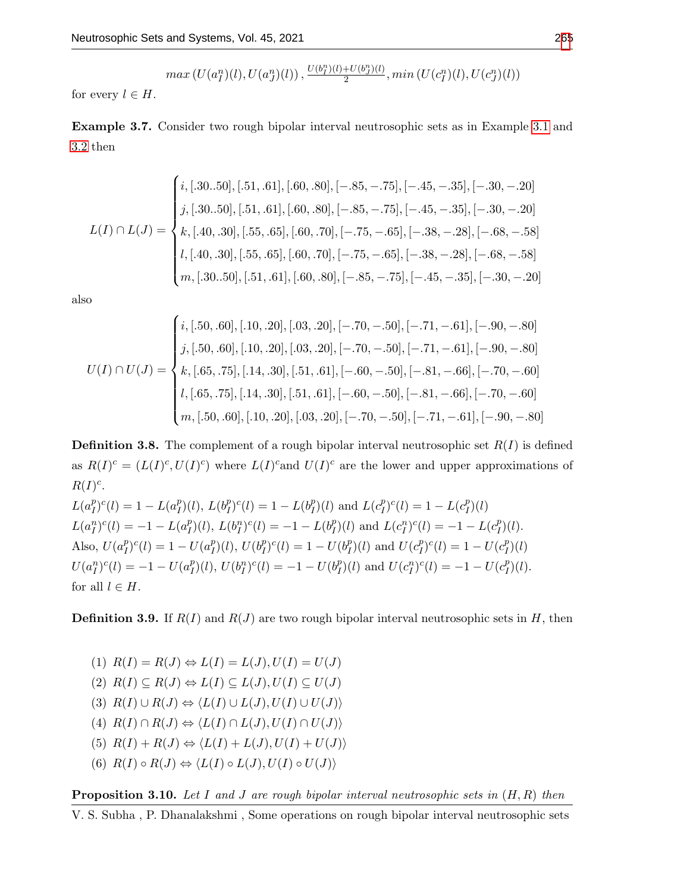$$
max(U(a_I^n)(l), U(a_J^n)(l)), \frac{U(b_I^n)(l) + U(b_J^n)(l)}{2}, min(U(c_I^n)(l), U(c_J^n)(l))
$$

for every  $l \in H$ .

Example 3.7. Consider two rough bipolar interval neutrosophic sets as in Example [3.1](#page-1-0) and [3.2](#page-2-0) then

$$
L(I) \cap L(J) = \begin{cases} i, [.30..50], [.51, .61], [.60, .80], [-.85, -.75], [-.45, -.35], [-.30, -.20] \\ j, [.30..50], [.51, .61], [.60, .80], [-.85, -.75], [-.45, -.35], [-.30, -.20] \\ k, [.40, .30], [.55, .65], [.60, .70], [-.75, -.65], [-.38, -.28], [-.68, -.58] \\ l, [.40, .30], [.55, .65], [.60, .70], [-.75, -.65], [-.38, -.28], [-.68, -.58] \\ m, [.30..50], [.51, .61], [.60, .80], [-.85, -.75], [-.45, -.35], [-.30, -.20] \end{cases}
$$

also

$$
U(I) \cap U(J) = \begin{cases} i, [.50, .60], [.10, .20], [.03, .20], [-.70, -.50], [-.71, -.61], [-.90, -.80] \\ j, [.50, .60], [.10, .20], [.03, .20], [-.70, -.50], [-.71, -.61], [-.90, -.80] \\ k, [.65, .75], [.14, .30], [.51, .61], [-.60, -.50], [-.81, -.66], [-.70, -.60] \\ n, [.50, .60], [.10, .20], [.03, .20], [-.70, -.50], [-.71, -.61], [-.90, -.80] \end{cases}
$$

**Definition 3.8.** The complement of a rough bipolar interval neutrosophic set  $R(I)$  is defined as  $R(I)^c = (L(I)^c, U(I)^c)$  where  $L(I)^c$  and  $U(I)^c$  are the lower and upper approximations of  $R(I)^c$ .

 $L(a_I^p)$  $\binom{p}{I}^c(l) = 1 - L(a_I^p)$  $\binom{p}{I}(l), L(b_I^p)$  $_{I}^{p})^{c}(l) = 1 - L(b_{I}^{p})$  $\binom{p}{I}(l)$  and  $L(c_I^p)$  $\binom{p}{I}^c(l) = 1 - L(c_I^p)$  $\binom{p}{I}(l)$  $L(a_I^n)^c(l) = -1 - L(a_I^n)$  $\binom{p}{I}(l), L(b_I^n)^c(l) = -1 - L(b_I^n)$  $I_I^p(l)$  and  $L(c_I^n)^c(l) = -1 - L(c_I^n)$  $_{I}^{p})(l).$ Also,  $U(a_I^p)$  $_{I}^{p})^{c}(l) = 1 - U(a_{I}^{p})$  $\binom{p}{I}(l), U(b_I^p)$  $_{I}^{p})^{c}(l) = 1 - U(b_{I}^{p})$  $\binom{p}{I}(l)$  and  $U(c_I^p)$  $\binom{p}{I}^c(l) = 1 - U(c_I^p)$  $\binom{p}{I}(l)$  $U(a_I^n)^c(l) = -1 - U(a_I^n)$  $U(I), U(b_I^n)^c(I) = -1 - U(b_I^n)$  $U(t_I^p)^c(l) = -1 - U(c_I^p)^c$  $_{I}^{p})(l).$ for all  $l \in H$ .

**Definition 3.9.** If  $R(I)$  and  $R(J)$  are two rough bipolar interval neutrosophic sets in H, then

(1) 
$$
R(I) = R(J) \Leftrightarrow L(I) = L(J), U(I) = U(J)
$$
  
\n(2)  $R(I) \subseteq R(J) \Leftrightarrow L(I) \subseteq L(J), U(I) \subseteq U(J)$   
\n(3)  $R(I) \cup R(J) \Leftrightarrow \langle L(I) \cup L(J), U(I) \cup U(J) \rangle$   
\n(4)  $R(I) \cap R(J) \Leftrightarrow \langle L(I) \cap L(J), U(I) \cap U(J) \rangle$   
\n(5)  $R(I) + R(J) \Leftrightarrow \langle L(I) + L(J), U(I) + U(J) \rangle$   
\n(6)  $R(I) \circ R(J) \Leftrightarrow \langle L(I) \circ L(J), U(I) \circ U(J) \rangle$ 

**Proposition 3.10.** Let I and J are rough bipolar interval neutrosophic sets in  $(H, R)$  then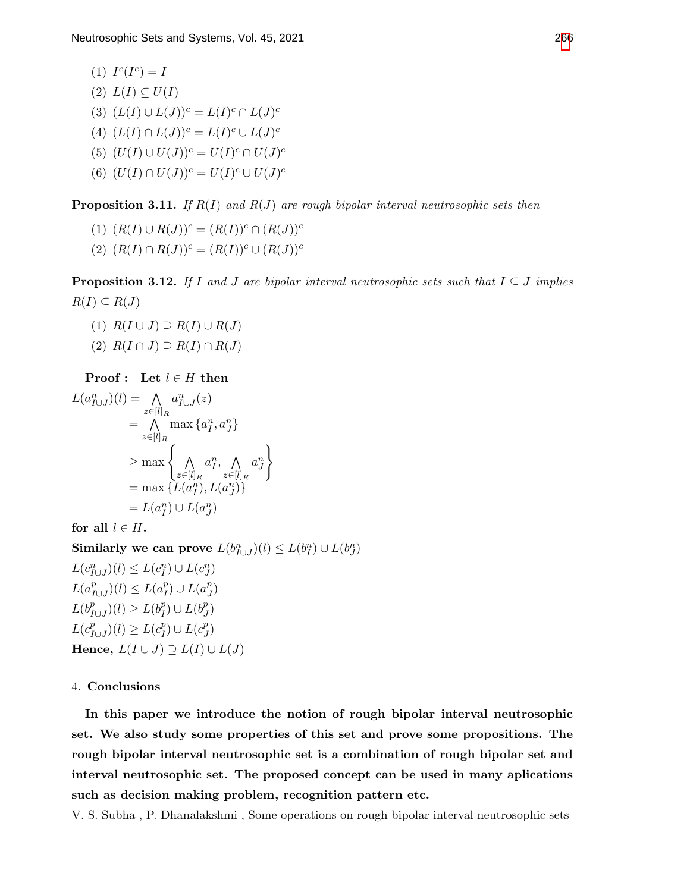(1)  $I^c(I^c) = I$  $(2) L(I) \subseteq U(I)$ (3)  $(L(I) \cup L(J))^c = L(I)^c \cap L(J)^c$ (4)  $(L(I) \cap L(J))^c = L(I)^c \cup L(J)^c$ (5)  $(U(I) \cup U(J))^c = U(I)^c \cap U(J)^c$ (6)  $(U(I) \cap U(J))^{c} = U(I)^{c} \cup U(J)^{c}$ 

**Proposition 3.11.** If  $R(I)$  and  $R(J)$  are rough bipolar interval neutrosophic sets then

- (1)  $(R(I) \cup R(J))^c = (R(I))^c \cap (R(J))^c$
- (2)  $(R(I) \cap R(J))^c = (R(I))^c \cup (R(J))^c$

**Proposition 3.12.** If I and J are bipolar interval neutrosophic sets such that  $I \subseteq J$  implies  $R(I) \subseteq R(J)$ 

- (1)  $R(I \cup J) \supseteq R(I) \cup R(J)$
- $(2)$   $R(I \cap J) \supseteq R(I) \cap R(J)$

**Proof**: Let 
$$
l \in H
$$
 then

$$
L(a_{I\cup J}^n)(l) = \bigwedge_{z \in [l]_R} a_{I\cup J}^n(z)
$$
  
= 
$$
\bigwedge_{z \in [l]_R} \max \{a_I^n, a_J^n\}
$$
  

$$
\ge \max \left\{\bigwedge_{z \in [l]_R} a_I^n, \bigwedge_{z \in [l]_R} a_J^n\right\}
$$
  
= 
$$
\max \{L(a_I^n), L(a_J^n)\}
$$
  
= 
$$
L(a_I^n) \cup L(a_J^n)
$$

for all  $l \in H$ .

Similarly we can prove  $L(b_{I\cup J}^n)(l)\leq L(b_I^n)\cup L(b_J^n)$  $L(c_{I\cup J}^n)(l) \leq L(c_I^n) \cup L(c_J^n)$  $L(a_I^p)$  $\binom{p}{I\cup J}(l) \leq L(a_I^p)$  $_{I}^{p})\cup L(a_{J}^{p})$  $\binom{p}{J}$  $L(b_I^p)$  $\binom{p}{I\cup J}(l) \geq L(b_I^p)$  $\binom{p}{I} \cup L(b_J^p)$  $\binom{p}{J}$  $L(c_I^p)$  $\binom{p}{I\cup J}(l) \geq L(c_I^p)$  $\binom{p}{I} \cup L(c_j^p)$  $\binom{p}{J}$ Hence,  $L(I \cup J) \supseteq L(I) \cup L(J)$ 

### 4. Conclusions

In this paper we introduce the notion of rough bipolar interval neutrosophic set. We also study some properties of this set and prove some propositions. The rough bipolar interval neutrosophic set is a combination of rough bipolar set and interval neutrosophic set. The proposed concept can be used in many aplications such as decision making problem, recognition pattern etc.